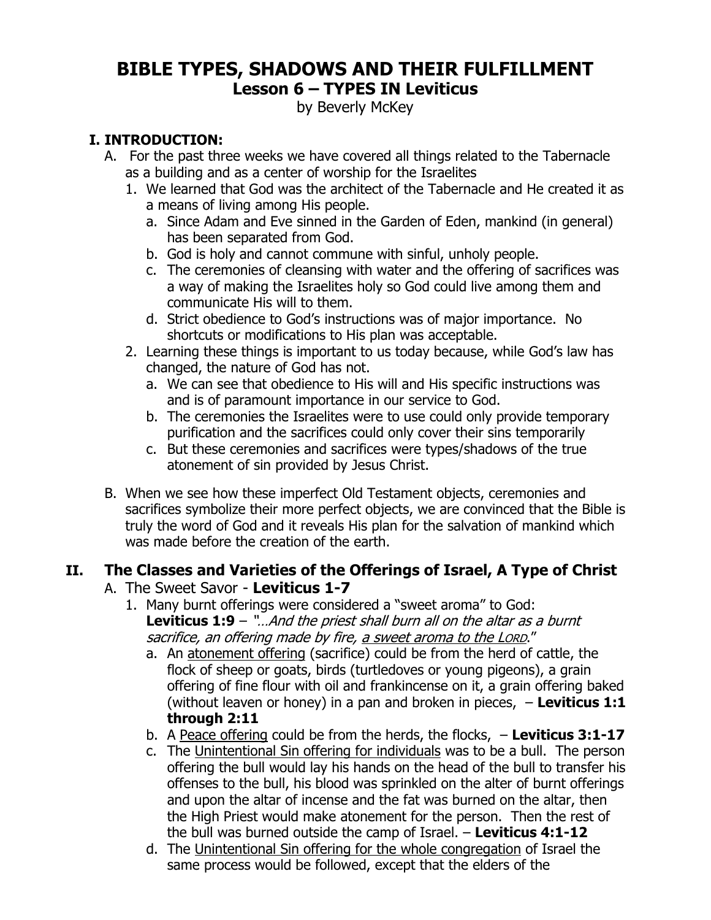### **BIBLE TYPES, SHADOWS AND THEIR FULFILLMENT Lesson 6 – TYPES IN Leviticus**

by Beverly McKey

### **I. INTRODUCTION:**

- A. For the past three weeks we have covered all things related to the Tabernacle as a building and as a center of worship for the Israelites
	- 1. We learned that God was the architect of the Tabernacle and He created it as a means of living among His people.
		- a. Since Adam and Eve sinned in the Garden of Eden, mankind (in general) has been separated from God.
		- b. God is holy and cannot commune with sinful, unholy people.
		- c. The ceremonies of cleansing with water and the offering of sacrifices was a way of making the Israelites holy so God could live among them and communicate His will to them.
		- d. Strict obedience to God's instructions was of major importance. No shortcuts or modifications to His plan was acceptable.
	- 2. Learning these things is important to us today because, while God's law has changed, the nature of God has not.
		- a. We can see that obedience to His will and His specific instructions was and is of paramount importance in our service to God.
		- b. The ceremonies the Israelites were to use could only provide temporary purification and the sacrifices could only cover their sins temporarily
		- c. But these ceremonies and sacrifices were types/shadows of the true atonement of sin provided by Jesus Christ.
- B. When we see how these imperfect Old Testament objects, ceremonies and sacrifices symbolize their more perfect objects, we are convinced that the Bible is truly the word of God and it reveals His plan for the salvation of mankind which was made before the creation of the earth.

#### **II. The Classes and Varieties of the Offerings of Israel, A Type of Christ**  A. The Sweet Savor - **Leviticus 1-7**

- 1. Many burnt offerings were considered a "sweet aroma" to God: **Leviticus 1:9** – "…And the priest shall burn all on the altar as a burnt sacrifice, an offering made by fire, a sweet aroma to the LORD."
	- a. An atonement offering (sacrifice) could be from the herd of cattle, the flock of sheep or goats, birds (turtledoves or young pigeons), a grain offering of fine flour with oil and frankincense on it, a grain offering baked (without leaven or honey) in a pan and broken in pieces, – **Leviticus 1:1 through 2:11**
	- b. A Peace offering could be from the herds, the flocks, **Leviticus 3:1-17**
	- c. The Unintentional Sin offering for individuals was to be a bull. The person offering the bull would lay his hands on the head of the bull to transfer his offenses to the bull, his blood was sprinkled on the alter of burnt offerings and upon the altar of incense and the fat was burned on the altar, then the High Priest would make atonement for the person. Then the rest of the bull was burned outside the camp of Israel. – **Leviticus 4:1-12**
	- d. The Unintentional Sin offering for the whole congregation of Israel the same process would be followed, except that the elders of the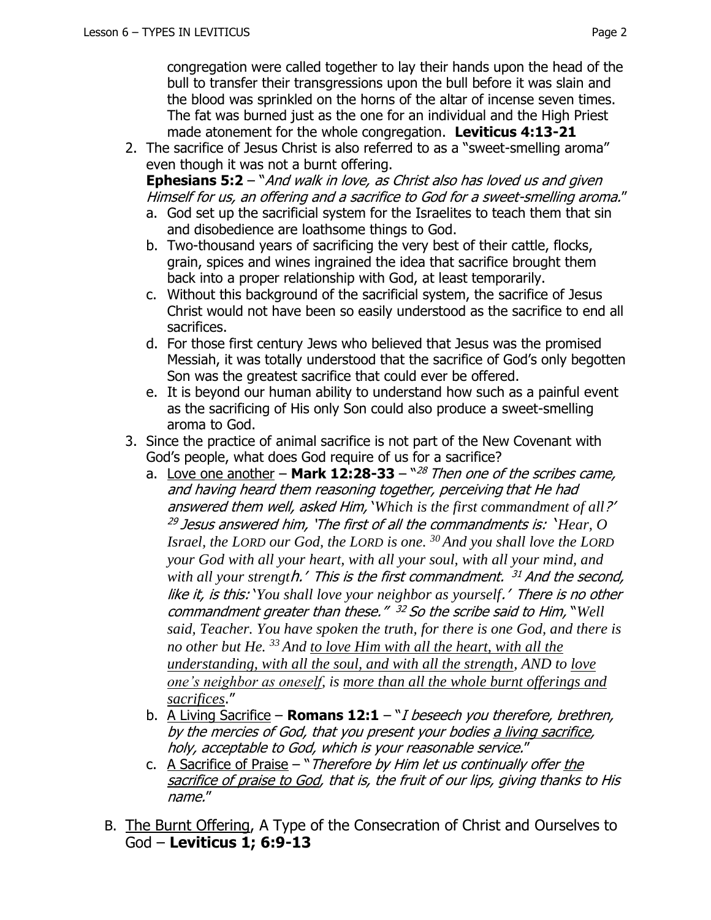congregation were called together to lay their hands upon the head of the bull to transfer their transgressions upon the bull before it was slain and the blood was sprinkled on the horns of the altar of incense seven times. The fat was burned just as the one for an individual and the High Priest made atonement for the whole congregation. **Leviticus 4:13-21**

2. The sacrifice of Jesus Christ is also referred to as a "sweet-smelling aroma" even though it was not a burnt offering.

**Ephesians 5:2** – "And walk in love, as Christ also has loved us and given Himself for us, an offering and a sacrifice to God for a sweet-smelling aroma."

- a. God set up the sacrificial system for the Israelites to teach them that sin and disobedience are loathsome things to God.
- b. Two-thousand years of sacrificing the very best of their cattle, flocks, grain, spices and wines ingrained the idea that sacrifice brought them back into a proper relationship with God, at least temporarily.
- c. Without this background of the sacrificial system, the sacrifice of Jesus Christ would not have been so easily understood as the sacrifice to end all sacrifices.
- d. For those first century Jews who believed that Jesus was the promised Messiah, it was totally understood that the sacrifice of God's only begotten Son was the greatest sacrifice that could ever be offered.
- e. It is beyond our human ability to understand how such as a painful event as the sacrificing of His only Son could also produce a sweet-smelling aroma to God.
- 3. Since the practice of animal sacrifice is not part of the New Covenant with God's people, what does God require of us for a sacrifice?
	- a. Love one another **Mark 12:28-33**  " <sup>28</sup> Then one of the scribes came, and having heard them reasoning together, perceiving that He had answered them well, asked Him, '*Which is the first commandment of all*?' 29 Jesus answered him, 'The first of all the commandments is: '*Hear, O Israel, the LORD our God, the LORD is one. <sup>30</sup> And you shall love the LORD your God with all your heart, with all your soul, with all your mind, and with all your strengt*h.' This is the first commandment. <sup>31</sup> And the second, like it, is this: '*You shall love your neighbor as yourself*.' There is no other commandment greater than these." <sup>32</sup> So the scribe said to Him, "*Well said, Teacher. You have spoken the truth, for there is one God, and there is no other but He. <sup>33</sup> And to love Him with all the heart, with all the understanding, with all the soul, and with all the strength, AND to love one's neighbor as oneself, is more than all the whole burnt offerings and sacrifices*."
	- b. A Living Sacrifice **Romans 12:1** "I beseech you therefore, brethren, by the mercies of God, that you present your bodies a living sacrifice, holy, acceptable to God, which is your reasonable service."
	- c. A Sacrifice of Praise  $-$  "Therefore by Him let us continually offer the sacrifice of praise to God, that is, the fruit of our lips, giving thanks to His name."
- B. The Burnt Offering, A Type of the Consecration of Christ and Ourselves to God – **Leviticus 1; 6:9-13**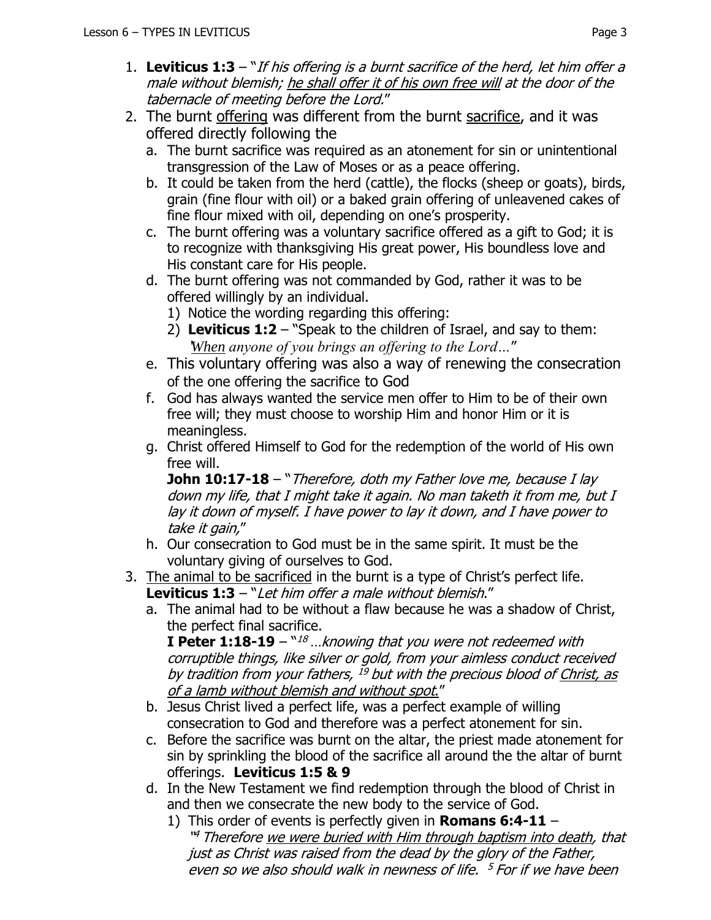- 1. **Leviticus 1:3**  "If his offering is a burnt sacrifice of the herd, let him offer a male without blemish; he shall offer it of his own free will at the door of the tabernacle of meeting before the Lord."
- 2. The burnt offering was different from the burnt sacrifice, and it was offered directly following the
	- a. The burnt sacrifice was required as an atonement for sin or unintentional transgression of the Law of Moses or as a peace offering.
	- b. It could be taken from the herd (cattle), the flocks (sheep or goats), birds, grain (fine flour with oil) or a baked grain offering of unleavened cakes of fine flour mixed with oil, depending on one's prosperity.
	- c. The burnt offering was a voluntary sacrifice offered as a gift to God; it is to recognize with thanksgiving His great power, His boundless love and His constant care for His people.
	- d. The burnt offering was not commanded by God, rather it was to be offered willingly by an individual.
		- 1) Notice the wording regarding this offering:
		- 2) **Leviticus 1:2**  "Speak to the children of Israel, and say to them: '*When anyone of you brings an offering to the Lord…*"
	- e. This voluntary offering was also a way of renewing the consecration of the one offering the sacrifice to God
	- f. God has always wanted the service men offer to Him to be of their own free will; they must choose to worship Him and honor Him or it is meaningless.
	- g. Christ offered Himself to God for the redemption of the world of His own free will.

**John 10:17-18** – "Therefore, doth my Father love me, because I lay down my life, that I might take it again. No man taketh it from me, but I lay it down of myself. I have power to lay it down, and I have power to take it gain,"

- h. Our consecration to God must be in the same spirit. It must be the voluntary giving of ourselves to God.
- 3. The animal to be sacrificed in the burnt is a type of Christ's perfect life. **Leviticus 1:3** – "Let him offer a male without blemish."
	- a. The animal had to be without a flaw because he was a shadow of Christ, the perfect final sacrifice.

**I Peter 1:18-19** –  $\lceil n/26 \rceil$  ... knowing that you were not redeemed with corruptible things, like silver or gold, from your aimless conduct received by tradition from your fathers, <sup>19</sup> but with the precious blood of <u>Christ, as</u> of a lamb without blemish and without spot."

- b. Jesus Christ lived a perfect life, was a perfect example of willing consecration to God and therefore was a perfect atonement for sin.
- c. Before the sacrifice was burnt on the altar, the priest made atonement for sin by sprinkling the blood of the sacrifice all around the the altar of burnt offerings. **Leviticus 1:5 & 9**
- d. In the New Testament we find redemption through the blood of Christ in and then we consecrate the new body to the service of God.
	- 1) This order of events is perfectly given in **Romans 6:4-11** <sup>''4</sup> Therefore <u>we were buried with Him through baptism into death</u>, that just as Christ was raised from the dead by the glory of the Father, even so we also should walk in newness of life. <sup>5</sup> For if we have been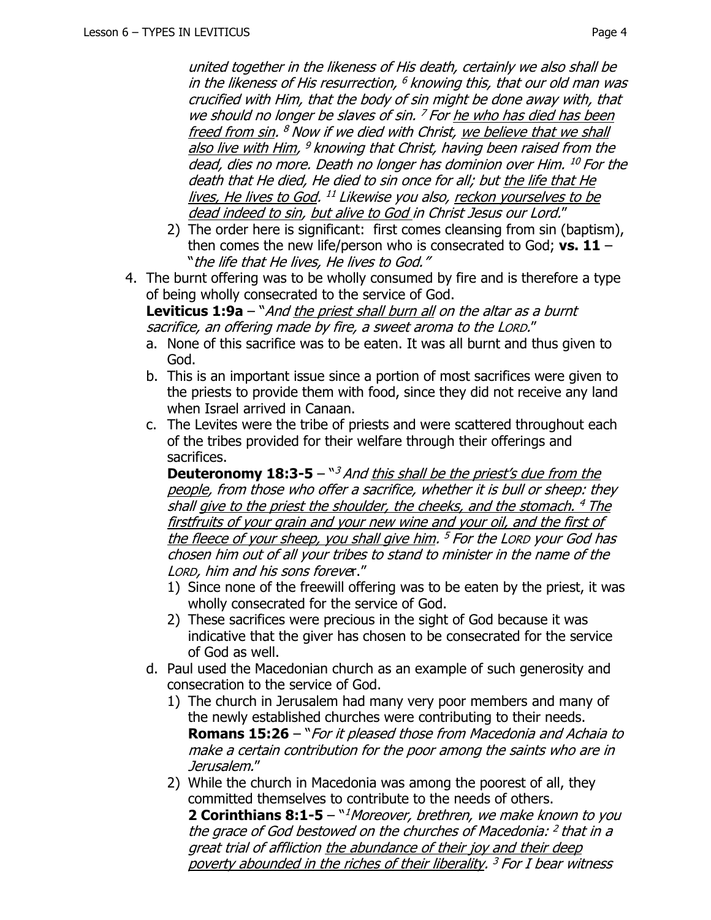united together in the likeness of His death, certainly we also shall be in the likeness of His resurrection, <sup>6</sup> knowing this, that our old man was crucified with Him, that the body of sin might be done away with, that we should no longer be slaves of sin. <sup>7</sup> For <u>he who has died has been</u> freed from sin. <sup>8</sup> Now if we died with Christ, <u>we believe that we shall</u> also live with Him, <sup>9</sup> knowing that Christ, having been raised from the dead, dies no more. Death no longer has dominion over Him. <sup>10</sup> For the death that He died, He died to sin once for all; but the life that He lives, He lives to God. <sup>11</sup> Likewise you also, <u>reckon yourselves to be</u> dead indeed to sin, but alive to God in Christ Jesus our Lord."

- 2) The order here is significant: first comes cleansing from sin (baptism), then comes the new life/person who is consecrated to God; **vs. 11** – "the life that He lives, He lives to God."
- 4. The burnt offering was to be wholly consumed by fire and is therefore a type of being wholly consecrated to the service of God.

**Leviticus 1:9a** – "And the priest shall burn all on the altar as a burnt sacrifice, an offering made by fire, a sweet aroma to the LORD."

- a. None of this sacrifice was to be eaten. It was all burnt and thus given to God.
- b. This is an important issue since a portion of most sacrifices were given to the priests to provide them with food, since they did not receive any land when Israel arrived in Canaan.
- c. The Levites were the tribe of priests and were scattered throughout each of the tribes provided for their welfare through their offerings and sacrifices.

**Deuteronomy 18:3-5** – "<sup>3</sup> And this shall be the priest's due from the people, from those who offer a sacrifice, whether it is bull or sheep: they shall give to the priest the shoulder, the cheeks, and the stomach. <sup>4</sup> The firstfruits of your grain and your new wine and your oil, and the first of the fleece of your sheep, you shall give him. <sup>5</sup> For the Lorp your God has chosen him out of all your tribes to stand to minister in the name of the LORD, him and his sons forever."

- 1) Since none of the freewill offering was to be eaten by the priest, it was wholly consecrated for the service of God.
- 2) These sacrifices were precious in the sight of God because it was indicative that the giver has chosen to be consecrated for the service of God as well.
- d. Paul used the Macedonian church as an example of such generosity and consecration to the service of God.
	- 1) The church in Jerusalem had many very poor members and many of the newly established churches were contributing to their needs. **Romans 15:26** – "For it pleased those from Macedonia and Achaia to make a certain contribution for the poor among the saints who are in Jerusalem."
	- 2) While the church in Macedonia was among the poorest of all, they committed themselves to contribute to the needs of others. **2 Corinthians 8:1-5** – "<sup>1</sup>Moreover, brethren, we make known to you the grace of God bestowed on the churches of Macedonia: <sup>2</sup> that in a great trial of affliction the abundance of their joy and their deep poverty abounded in the riches of their liberality. <sup>3</sup> For I bear witness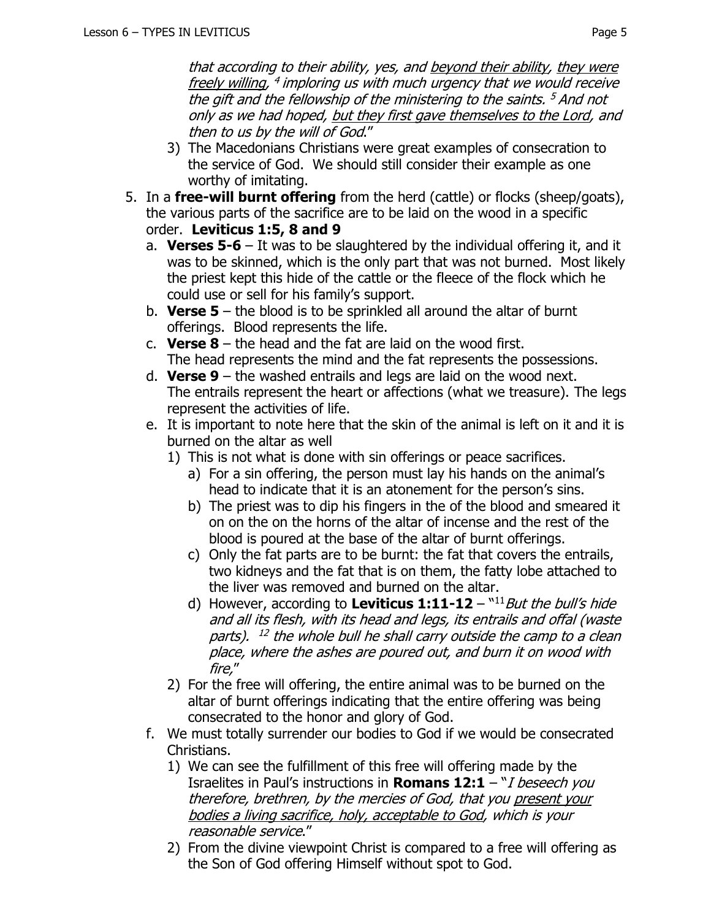that according to their ability, yes, and beyond their ability, they were freely willing, <sup>4</sup> imploring us with much urgency that we would receive the gift and the fellowship of the ministering to the saints. <sup>5</sup> And not only as we had hoped, but they first gave themselves to the Lord, and then to us by the will of God."

- 3) The Macedonians Christians were great examples of consecration to the service of God. We should still consider their example as one worthy of imitating.
- 5. In a **free-will burnt offering** from the herd (cattle) or flocks (sheep/goats), the various parts of the sacrifice are to be laid on the wood in a specific order. **Leviticus 1:5, 8 and 9**
	- a. **Verses 5-6**  It was to be slaughtered by the individual offering it, and it was to be skinned, which is the only part that was not burned. Most likely the priest kept this hide of the cattle or the fleece of the flock which he could use or sell for his family's support.
	- b. **Verse 5**  the blood is to be sprinkled all around the altar of burnt offerings. Blood represents the life.
	- c. **Verse 8**  the head and the fat are laid on the wood first. The head represents the mind and the fat represents the possessions.
	- d. **Verse 9**  the washed entrails and legs are laid on the wood next. The entrails represent the heart or affections (what we treasure). The legs represent the activities of life.
	- e. It is important to note here that the skin of the animal is left on it and it is burned on the altar as well
		- 1) This is not what is done with sin offerings or peace sacrifices.
			- a) For a sin offering, the person must lay his hands on the animal's head to indicate that it is an atonement for the person's sins.
			- b) The priest was to dip his fingers in the of the blood and smeared it on on the on the horns of the altar of incense and the rest of the blood is poured at the base of the altar of burnt offerings.
			- c) Only the fat parts are to be burnt: the fat that covers the entrails, two kidneys and the fat that is on them, the fatty lobe attached to the liver was removed and burned on the altar.
			- d) However, according to Leviticus 1:11-12 "<sup>11</sup> But the bull's hide and all its flesh, with its head and legs, its entrails and offal (waste parts). <sup>12</sup> the whole bull he shall carry outside the camp to a clean place, where the ashes are poured out, and burn it on wood with fire,"
		- 2) For the free will offering, the entire animal was to be burned on the altar of burnt offerings indicating that the entire offering was being consecrated to the honor and glory of God.
	- f. We must totally surrender our bodies to God if we would be consecrated Christians.
		- 1) We can see the fulfillment of this free will offering made by the Israelites in Paul's instructions in **Romans 12:1** – "I beseech you therefore, brethren, by the mercies of God, that you present your bodies a living sacrifice, holy, acceptable to God, which is your reasonable service."
		- 2) From the divine viewpoint Christ is compared to a free will offering as the Son of God offering Himself without spot to God.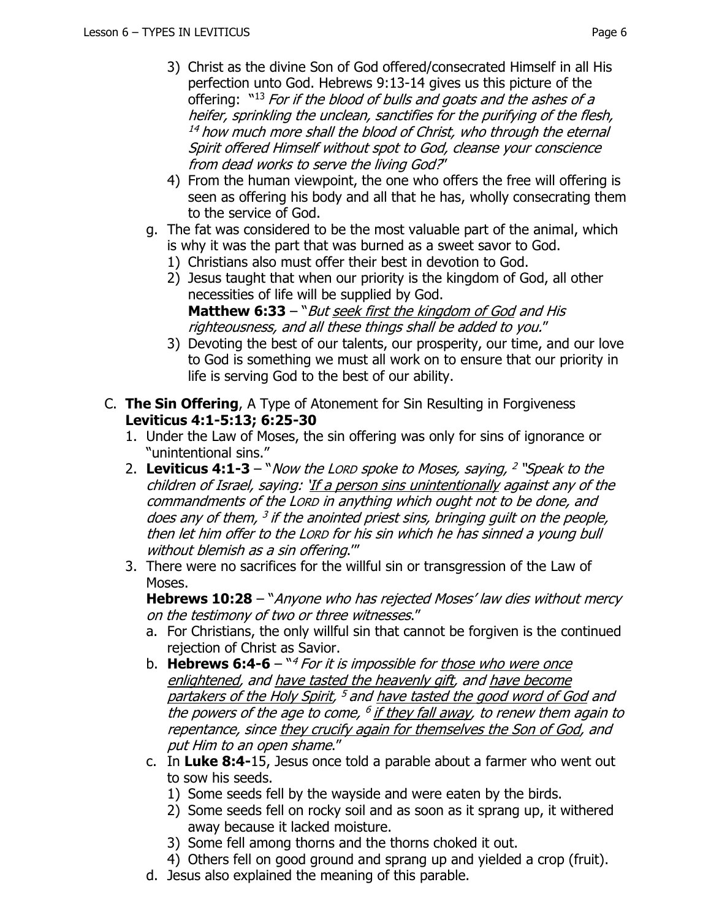- 3) Christ as the divine Son of God offered/consecrated Himself in all His perfection unto God. Hebrews 9:13-14 gives us this picture of the offering:  $"13$  For if the blood of bulls and goats and the ashes of a heifer, sprinkling the unclean, sanctifies for the purifying of the flesh,  $14$  how much more shall the blood of Christ, who through the eternal Spirit offered Himself without spot to God, cleanse your conscience from dead works to serve the living God?"
- 4) From the human viewpoint, the one who offers the free will offering is seen as offering his body and all that he has, wholly consecrating them to the service of God.
- g. The fat was considered to be the most valuable part of the animal, which is why it was the part that was burned as a sweet savor to God.
	- 1) Christians also must offer their best in devotion to God.
	- 2) Jesus taught that when our priority is the kingdom of God, all other necessities of life will be supplied by God. **Matthew 6:33** – "But seek first the kingdom of God and His righteousness, and all these things shall be added to you."
	- 3) Devoting the best of our talents, our prosperity, our time, and our love to God is something we must all work on to ensure that our priority in life is serving God to the best of our ability.
- C. **The Sin Offering**, A Type of Atonement for Sin Resulting in Forgiveness **Leviticus 4:1-5:13; 6:25-30** 
	- 1. Under the Law of Moses, the sin offering was only for sins of ignorance or "unintentional sins."
	- 2. **Leviticus 4:1-3**  "Now the LORD spoke to Moses, saying, 2 "Speak to the children of Israel, saying: 'If a person sins unintentionally against any of the commandments of the LORD in anything which ought not to be done, and does any of them, <sup>3</sup> if the anointed priest sins, bringing guilt on the people, then let him offer to the LORD for his sin which he has sinned a young bull without blemish as a sin offering."
	- 3. There were no sacrifices for the willful sin or transgression of the Law of Moses.

**Hebrews 10:28** – "Anyone who has rejected Moses' law dies without mercy on the testimony of two or three witnesses."

- a. For Christians, the only willful sin that cannot be forgiven is the continued rejection of Christ as Savior.
- b. **Hebrews 6:4-6** <sup>w4</sup> For it is impossible for <u>those who were once</u> enlightened, and have tasted the heavenly gift, and have become partakers of the Holy Spirit, <sup>5</sup> and <u>have tasted the good word of God</u> and the powers of the age to come, <sup>6</sup> i<u>f they fall away</u>, to renew them again to repentance, since they crucify again for themselves the Son of God, and put Him to an open shame."
- c. In **Luke 8:4-**15, Jesus once told a parable about a farmer who went out to sow his seeds.
	- 1) Some seeds fell by the wayside and were eaten by the birds.
	- 2) Some seeds fell on rocky soil and as soon as it sprang up, it withered away because it lacked moisture.
	- 3) Some fell among thorns and the thorns choked it out.
	- 4) Others fell on good ground and sprang up and yielded a crop (fruit).
- d. Jesus also explained the meaning of this parable.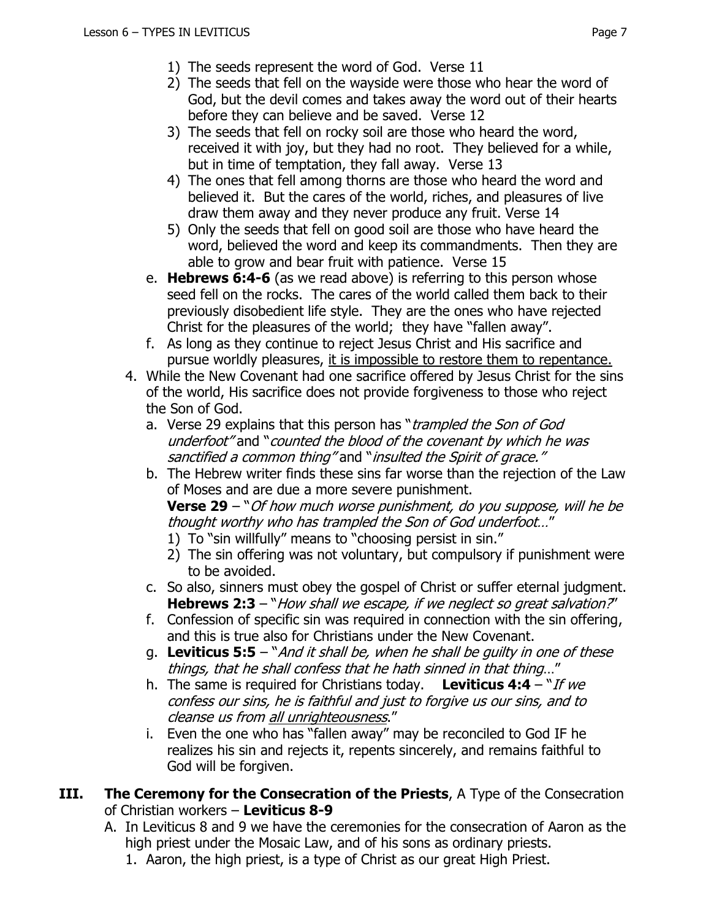- 1) The seeds represent the word of God. Verse 11
- 2) The seeds that fell on the wayside were those who hear the word of God, but the devil comes and takes away the word out of their hearts before they can believe and be saved. Verse 12
- 3) The seeds that fell on rocky soil are those who heard the word, received it with joy, but they had no root. They believed for a while, but in time of temptation, they fall away. Verse 13
- 4) The ones that fell among thorns are those who heard the word and believed it. But the cares of the world, riches, and pleasures of live draw them away and they never produce any fruit. Verse 14
- 5) Only the seeds that fell on good soil are those who have heard the word, believed the word and keep its commandments. Then they are able to grow and bear fruit with patience. Verse 15
- e. **Hebrews 6:4-6** (as we read above) is referring to this person whose seed fell on the rocks. The cares of the world called them back to their previously disobedient life style. They are the ones who have rejected Christ for the pleasures of the world; they have "fallen away".
- f. As long as they continue to reject Jesus Christ and His sacrifice and pursue worldly pleasures, it is impossible to restore them to repentance.
- 4. While the New Covenant had one sacrifice offered by Jesus Christ for the sins of the world, His sacrifice does not provide forgiveness to those who reject the Son of God.
	- a. Verse 29 explains that this person has "*trampled the Son of God* underfoot" and "counted the blood of the covenant by which he was sanctified a common thing" and "insulted the Spirit of grace."
	- b. The Hebrew writer finds these sins far worse than the rejection of the Law of Moses and are due a more severe punishment.

**Verse 29** – "Of how much worse punishment, do you suppose, will he be thought worthy who has trampled the Son of God underfoot…"

- 1) To "sin willfully" means to "choosing persist in sin."
- 2) The sin offering was not voluntary, but compulsory if punishment were to be avoided.
- c. So also, sinners must obey the gospel of Christ or suffer eternal judgment. **Hebrews 2:3** – "How shall we escape, if we neglect so great salvation?"
- f. Confession of specific sin was required in connection with the sin offering, and this is true also for Christians under the New Covenant.
- g. **Leviticus 5:5** "And it shall be, when he shall be guilty in one of these things, that he shall confess that he hath sinned in that thing…"
- h. The same is required for Christians today. **Leviticus 4:4**  "If we confess our sins, he is faithful and just to forgive us our sins, and to cleanse us from all unrighteousness."
- i. Even the one who has "fallen away" may be reconciled to God IF he realizes his sin and rejects it, repents sincerely, and remains faithful to God will be forgiven.
- **III. The Ceremony for the Consecration of the Priests**, A Type of the Consecration of Christian workers – **Leviticus 8-9**
	- A. In Leviticus 8 and 9 we have the ceremonies for the consecration of Aaron as the high priest under the Mosaic Law, and of his sons as ordinary priests.
		- 1. Aaron, the high priest, is a type of Christ as our great High Priest.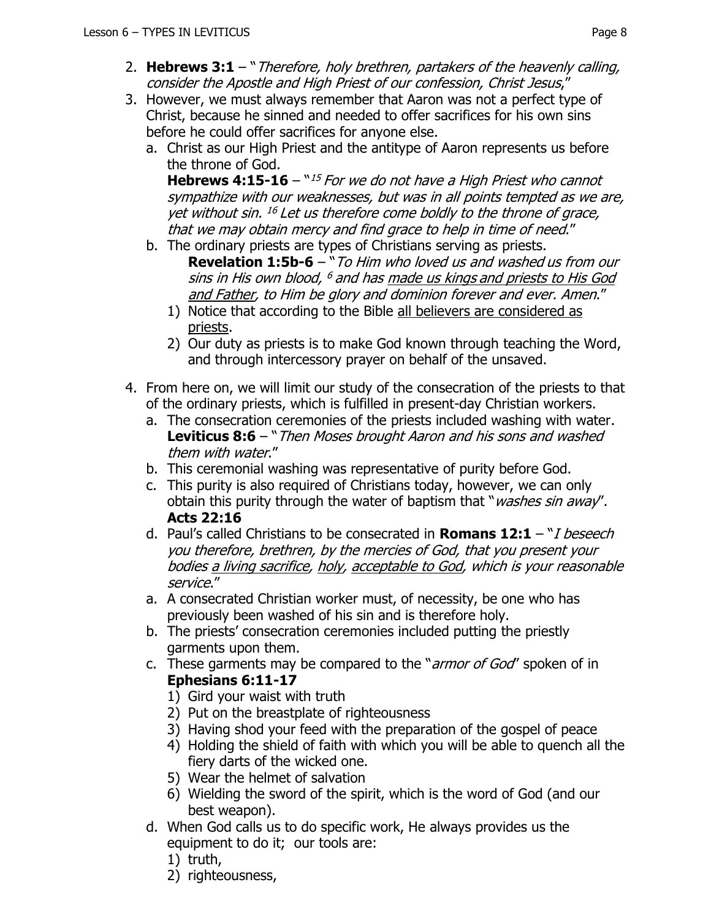- 2. **Hebrews 3:1**  "Therefore, holy brethren, partakers of the heavenly calling, consider the Apostle and High Priest of our confession, Christ Jesus,"
- 3. However, we must always remember that Aaron was not a perfect type of Christ, because he sinned and needed to offer sacrifices for his own sins before he could offer sacrifices for anyone else.
	- a. Christ as our High Priest and the antitype of Aaron represents us before the throne of God.

**Hebrews 4:15-16** – "<sup>15</sup> For we do not have a High Priest who cannot sympathize with our weaknesses, but was in all points tempted as we are, yet without sin. <sup>16</sup> Let us therefore come boldly to the throne of grace, that we may obtain mercy and find grace to help in time of need."

- b. The ordinary priests are types of Christians serving as priests.
	- **Revelation 1:5b-6** "To Him who loved us and washed us from our sins in His own blood, <sup>6</sup> and has made us kings and priests to His God and Father, to Him be glory and dominion forever and ever. Amen."
	- 1) Notice that according to the Bible all believers are considered as priests.
	- 2) Our duty as priests is to make God known through teaching the Word, and through intercessory prayer on behalf of the unsaved.
- 4. From here on, we will limit our study of the consecration of the priests to that of the ordinary priests, which is fulfilled in present-day Christian workers.
	- a. The consecration ceremonies of the priests included washing with water. **Leviticus 8:6** – "Then Moses brought Aaron and his sons and washed them with water."
	- b. This ceremonial washing was representative of purity before God.
	- c. This purity is also required of Christians today, however, we can only obtain this purity through the water of baptism that "*washes sin away*". **Acts 22:16**
	- d. Paul's called Christians to be consecrated in **Romans 12:1** "I beseech you therefore, brethren, by the mercies of God, that you present your bodies a living sacrifice, holy, acceptable to God, which is your reasonable service."
	- a. A consecrated Christian worker must, of necessity, be one who has previously been washed of his sin and is therefore holy.
	- b. The priests' consecration ceremonies included putting the priestly garments upon them.
	- c. These garments may be compared to the "*armor of God*" spoken of in **Ephesians 6:11-17**
		- 1) Gird your waist with truth
		- 2) Put on the breastplate of righteousness
		- 3) Having shod your feed with the preparation of the gospel of peace
		- 4) Holding the shield of faith with which you will be able to quench all the fiery darts of the wicked one.
		- 5) Wear the helmet of salvation
		- 6) Wielding the sword of the spirit, which is the word of God (and our best weapon).
	- d. When God calls us to do specific work, He always provides us the equipment to do it; our tools are:
		- 1) truth,
		- 2) righteousness,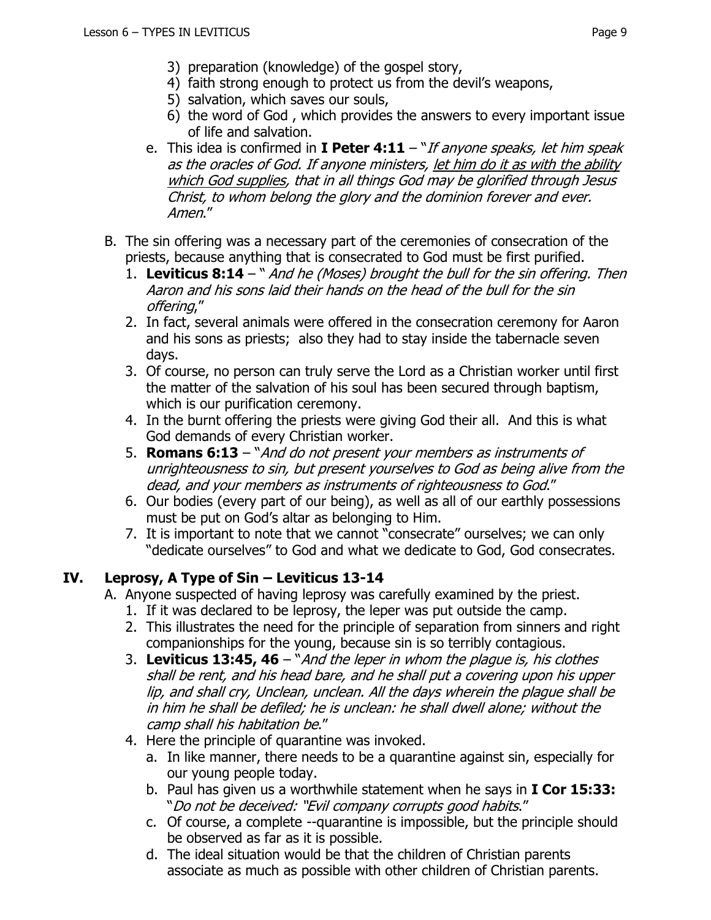- 3) preparation (knowledge) of the gospel story,
- 4) faith strong enough to protect us from the devil's weapons,
- 5) salvation, which saves our souls,
- 6) the word of God , which provides the answers to every important issue of life and salvation.
- e. This idea is confirmed in **I Peter 4:11**  "If anyone speaks, let him speak as the oracles of God. If anyone ministers, let him do it as with the ability which God supplies, that in all things God may be glorified through Jesus Christ, to whom belong the glory and the dominion forever and ever. Amen."
- B. The sin offering was a necessary part of the ceremonies of consecration of the priests, because anything that is consecrated to God must be first purified.
	- 1. **Leviticus 8:14**  " And he (Moses) brought the bull for the sin offering. Then Aaron and his sons laid their hands on the head of the bull for the sin offering,"
	- 2. In fact, several animals were offered in the consecration ceremony for Aaron and his sons as priests; also they had to stay inside the tabernacle seven days.
	- 3. Of course, no person can truly serve the Lord as a Christian worker until first the matter of the salvation of his soul has been secured through baptism, which is our purification ceremony.
	- 4. In the burnt offering the priests were giving God their all. And this is what God demands of every Christian worker.
	- 5. **Romans 6:13** "And do not present your members as instruments of unrighteousness to sin, but present yourselves to God as being alive from the dead, and your members as instruments of righteousness to God."
	- 6. Our bodies (every part of our being), as well as all of our earthly possessions must be put on God's altar as belonging to Him.
	- 7. It is important to note that we cannot "consecrate" ourselves; we can only "dedicate ourselves" to God and what we dedicate to God, God consecrates.

## **IV. Leprosy, A Type of Sin – Leviticus 13-14**

- A. Anyone suspected of having leprosy was carefully examined by the priest.
	- 1. If it was declared to be leprosy, the leper was put outside the camp.
	- 2. This illustrates the need for the principle of separation from sinners and right companionships for the young, because sin is so terribly contagious.
	- 3. **Leviticus 13:45, 46** "And the leper in whom the plague is, his clothes shall be rent, and his head bare, and he shall put a covering upon his upper lip, and shall cry, Unclean, unclean. All the days wherein the plague shall be in him he shall be defiled; he is unclean: he shall dwell alone; without the camp shall his habitation be."
	- 4. Here the principle of quarantine was invoked.
		- a. In like manner, there needs to be a quarantine against sin, especially for our young people today.
		- b. Paul has given us a worthwhile statement when he says in **I Cor 15:33:** "Do not be deceived: "Evil company corrupts good habits."
		- c. Of course, a complete --quarantine is impossible, but the principle should be observed as far as it is possible.
		- d. The ideal situation would be that the children of Christian parents associate as much as possible with other children of Christian parents.